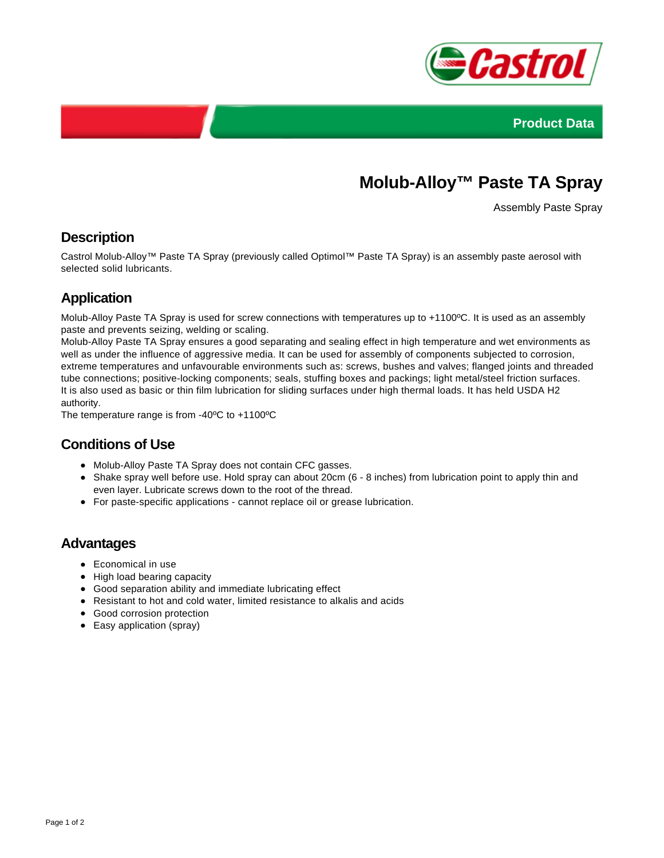



# **Molub-Alloy™ Paste TA Spray**

Assembly Paste Spray

## **Description**

Castrol Molub-Alloy™ Paste TA Spray (previously called Optimol™ Paste TA Spray) is an assembly paste aerosol with selected solid lubricants.

# **Application**

Molub-Alloy Paste TA Spray is used for screw connections with temperatures up to +1100°C. It is used as an assembly paste and prevents seizing, welding or scaling.

Molub-Alloy Paste TA Spray ensures a good separating and sealing effect in high temperature and wet environments as well as under the influence of aggressive media. It can be used for assembly of components subjected to corrosion, extreme temperatures and unfavourable environments such as: screws, bushes and valves; flanged joints and threaded tube connections; positive-locking components; seals, stuffing boxes and packings; light metal/steel friction surfaces. It is also used as basic or thin film lubrication for sliding surfaces under high thermal loads. It has held USDA H2 authority.

The temperature range is from -40ºC to +1100ºC

### **Conditions of Use**

- Molub-Alloy Paste TA Spray does not contain CFC gasses.
- Shake spray well before use. Hold spray can about 20cm (6 8 inches) from lubrication point to apply thin and even layer. Lubricate screws down to the root of the thread.
- For paste-specific applications cannot replace oil or grease lubrication.

#### **Advantages**

- Economical in use
- High load bearing capacity
- Good separation ability and immediate lubricating effect
- Resistant to hot and cold water, limited resistance to alkalis and acids
- Good corrosion protection
- Easy application (spray)